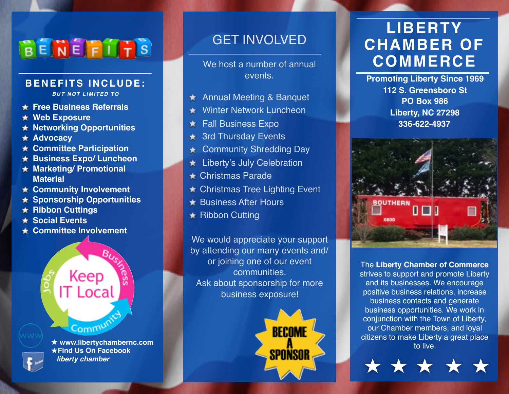## BENEFITS

### **BENEFITS INCLUDE:**

*BUT NOT LIMITED TO*

- **Free Business Referrals**
- **Web Exposure**
- **Networking Opportunities**
- **Advocacy**
- **Committee Participation**
- **Business Expo/ Luncheon**
- **Marketing/ Promotional Material**
- **Community Involvement**
- **Sponsorship Opportunities**
- **Ribbon Cuttings**
- **Social Events**
- **Committee Involvement**

# Keep IT Local Commun



 **www.libertychambernc.com ★Find Us On Facebook** *liberty chamber*

### GET INVOLVED

We host a number of annual events.

- ★ Annual Meeting & Banquet
- Winter Network Luncheon
- Fall Business Expo
- 3rd Thursday Events
- Community Shredding Day
- **Liberty's July Celebration**
- Christmas Parade
- ★ Christmas Tree Lighting Event
- **Business After Hours**
- **★ Ribbon Cutting**

We would appreciate your support by attending our many events and/ or joining one of our event communities. Ask about sponsorship for more business exposure!



## **LIBERTY CHAMBER OF COMMERCE**

**Promoting Liberty Since 1969 112 S. Greensboro St PO Box 986 Liberty, NC 27298 336-622-4937**



The **Liberty Chamber of Commerce** strives to support and promote Liberty and its businesses. We encourage positive business relations, increase business contacts and generate business opportunities. We work in conjunction with the Town of Liberty, our Chamber members, and loyal citizens to make Liberty a great place to live.